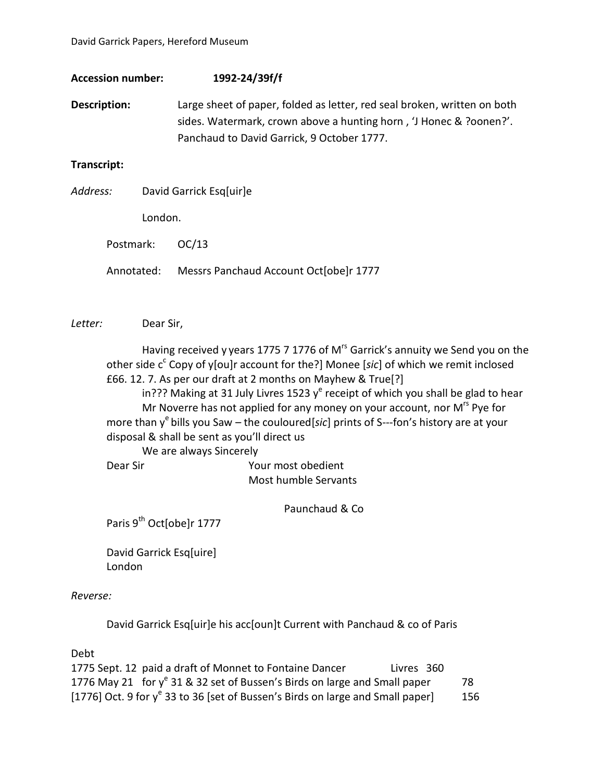| <b>Accession number:</b> | 1992-24/39f/f                                                            |
|--------------------------|--------------------------------------------------------------------------|
| Description:             | Large sheet of paper, folded as letter, red seal broken, written on both |
|                          | sides. Watermark, crown above a hunting horn, 'J Honec & ?oonen?'.       |
|                          | Panchaud to David Garrick, 9 October 1777.                               |
|                          |                                                                          |

## **Transcript:**

*Address:* David Garrick Esq[uir]e London.

Postmark: OC/13

Annotated: Messrs Panchaud Account Oct[obe]r 1777

*Letter:* Dear Sir,

Having received y years 1775 7 1776 of M<sup>rs</sup> Garrick's annuity we Send you on the other side c<sup>c</sup> Copy of y[ou]r account for the?] Monee [sic] of which we remit inclosed £66. 12. 7. As per our draft at 2 months on Mayhew & True[?] in??? Making at 31 July Livres 1523 y<sup>e</sup> receipt of which you shall be glad to hear Mr Noverre has not applied for any money on your account, nor M<sup>rs</sup> Pye for more than y<sup>e</sup> bills you Saw – the couloured[sic] prints of S---fon's history are at your disposal & shall be sent as you'll direct us We are always Sincerely Dear Sir Your most obedient

Most humble Servants

Paunchaud & Co

Paris 9<sup>th</sup> Oct[obe]r 1777

David Garrick Esq[uire] London

## *Reverse:*

David Garrick Esq[uir]e his acc[oun]t Current with Panchaud & co of Paris

Debt

| 1775 Sept. 12 paid a draft of Monnet to Fontaine Dancer                           | Livres 360 |     |
|-----------------------------------------------------------------------------------|------------|-----|
| 1776 May 21 for $y^e$ 31 & 32 set of Bussen's Birds on large and Small paper      |            | -78 |
| [1776] Oct. 9 for $y^e$ 33 to 36 [set of Bussen's Birds on large and Small paper] |            | 156 |